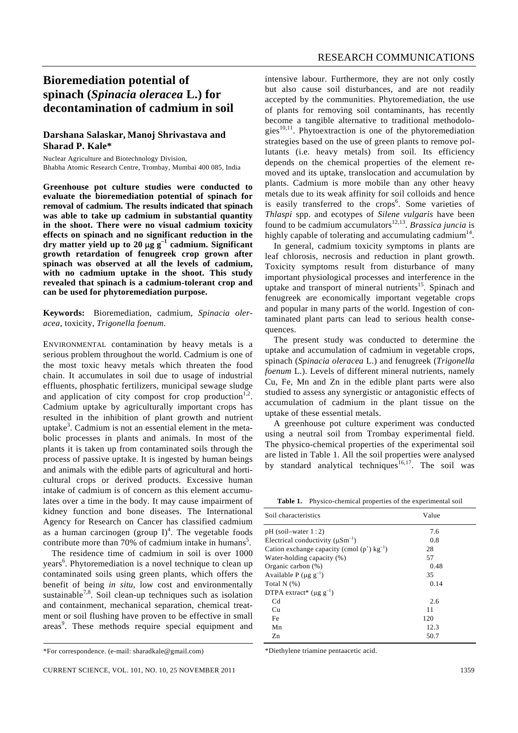## **Bioremediation potential of spinach (***Spinacia oleracea* **L.) for decontamination of cadmium in soil**

## **Darshana Salaskar, Manoj Shrivastava and Sharad P. Kale\***

Nuclear Agriculture and Biotechnology Division, Bhabha Atomic Research Centre, Trombay, Mumbai 400 085, India

**Greenhouse pot culture studies were conducted to evaluate the bioremediation potential of spinach for removal of cadmium. The results indicated that spinach was able to take up cadmium in substantial quantity in the shoot. There were no visual cadmium toxicity effects on spinach and no significant reduction in the dry matter yield up to 20** μ**g g–1 cadmium. Significant growth retardation of fenugreek crop grown after spinach was observed at all the levels of cadmium, with no cadmium uptake in the shoot. This study revealed that spinach is a cadmium-tolerant crop and can be used for phytoremediation purpose.** 

**Keywords:** Bioremediation, cadmium, *Spinacia oleracea*, toxicity, *Trigonella foenum*.

ENVIRONMENTAL contamination by heavy metals is a serious problem throughout the world. Cadmium is one of the most toxic heavy metals which threaten the food chain. It accumulates in soil due to usage of industrial effluents, phosphatic fertilizers, municipal sewage sludge and application of city compost for crop production<sup>1,2</sup>. Cadmium uptake by agriculturally important crops has resulted in the inhibition of plant growth and nutrient uptake<sup>3</sup>. Cadmium is not an essential element in the metabolic processes in plants and animals. In most of the plants it is taken up from contaminated soils through the process of passive uptake. It is ingested by human beings and animals with the edible parts of agricultural and horticultural crops or derived products. Excessive human intake of cadmium is of concern as this element accumulates over a time in the body. It may cause impairment of kidney function and bone diseases. The International Agency for Research on Cancer has classified cadmium as a human carcinogen (group  $I$ <sup>4</sup>. The vegetable foods contribute more than 70% of cadmium intake in humans<sup>5</sup>.

 The residence time of cadmium in soil is over 1000 years<sup>6</sup>. Phytoremediation is a novel technique to clean up contaminated soils using green plants, which offers the benefit of being *in situ*, low cost and environmentally sustainable<sup>7,8</sup>. Soil clean-up techniques such as isolation and containment, mechanical separation, chemical treatment or soil flushing have proven to be effective in small areas<sup>9</sup>. These methods require special equipment and intensive labour. Furthermore, they are not only costly but also cause soil disturbances, and are not readily accepted by the communities. Phytoremediation, the use of plants for removing soil contaminants, has recently become a tangible alternative to traditional methodologies<sup>10,11</sup>. Phytoextraction is one of the phytoremediation strategies based on the use of green plants to remove pollutants (i.e. heavy metals) from soil. Its efficiency depends on the chemical properties of the element removed and its uptake, translocation and accumulation by plants. Cadmium is more mobile than any other heavy metals due to its weak affinity for soil colloids and hence is easily transferred to the crops<sup>6</sup>. Some varieties of *Thlaspi* spp. and ecotypes of *Silene vulgaris* have been found to be cadmium accumulators12,13. *Brassica juncia* is highly capable of tolerating and accumulating cadmium<sup>14</sup>.

 In general, cadmium toxicity symptoms in plants are leaf chlorosis, necrosis and reduction in plant growth. Toxicity symptoms result from disturbance of many important physiological processes and interference in the uptake and transport of mineral nutrients<sup>15</sup>. Spinach and fenugreek are economically important vegetable crops and popular in many parts of the world. Ingestion of contaminated plant parts can lead to serious health consequences.

 The present study was conducted to determine the uptake and accumulation of cadmium in vegetable crops, spinach (*Spinacia oleracea* L.) and fenugreek (*Trigonella foenum* L.). Levels of different mineral nutrients, namely Cu, Fe, Mn and Zn in the edible plant parts were also studied to assess any synergistic or antagonistic effects of accumulation of cadmium in the plant tissue on the uptake of these essential metals.

 A greenhouse pot culture experiment was conducted using a neutral soil from Trombay experimental field. The physico-chemical properties of the experimental soil are listed in Table 1. All the soil properties were analysed by standard analytical techniques<sup>16,17</sup>. The soil was

**Table 1.** Physico-chemical properties of the experimental soil

| Soil characteristics                                      | Value |  |
|-----------------------------------------------------------|-------|--|
| $pH$ (soil–water $1:2$ )                                  | 7.6   |  |
| Electrical conductivity $(\mu S m^{-1})$                  | 0.8   |  |
| Cation exchange capacity (cmol $(p^+)$ kg <sup>-1</sup> ) | 28    |  |
| Water-holding capacity (%)                                | 57    |  |
| Organic carbon (%)                                        | 0.48  |  |
| Available P ( $\mu$ g g <sup>-1</sup> )                   | 35    |  |
| Total $N$ $(\%)$                                          | 0.14  |  |
| DTPA extract* ( $\mu$ g g <sup>-1</sup> )                 |       |  |
| C <sub>d</sub>                                            | 2.6   |  |
| Cu                                                        | 11    |  |
| Fe                                                        | 120   |  |
| Mn                                                        | 12.3  |  |
| Zn                                                        | 50.7  |  |

\*Diethylene triamine pentaacetic acid.

<sup>\*</sup>For correspondence. (e-mail: sharadkale@gmail.com)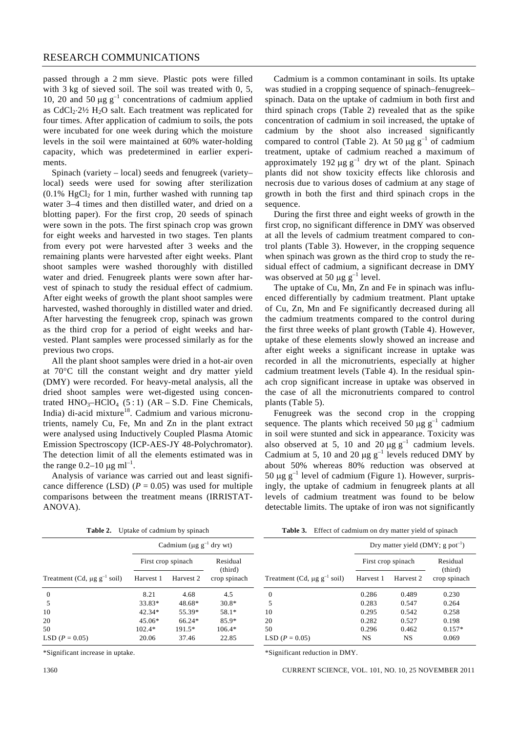passed through a 2 mm sieve. Plastic pots were filled with 3 kg of sieved soil. The soil was treated with 0, 5, 10, 20 and 50  $\mu$ g g<sup>-1</sup> concentrations of cadmium applied as  $CdCl<sub>2</sub>·2½ H<sub>2</sub>O$  salt. Each treatment was replicated for four times. After application of cadmium to soils, the pots were incubated for one week during which the moisture levels in the soil were maintained at 60% water-holding capacity, which was predetermined in earlier experiments.

 Spinach (variety – local) seeds and fenugreek (variety– local) seeds were used for sowing after sterilization  $(0.1\% \text{ HgCl}_2 \text{ for } 1 \text{ min}, \text{ further washed with running tap})$ water 3–4 times and then distilled water, and dried on a blotting paper). For the first crop, 20 seeds of spinach were sown in the pots. The first spinach crop was grown for eight weeks and harvested in two stages. Ten plants from every pot were harvested after 3 weeks and the remaining plants were harvested after eight weeks. Plant shoot samples were washed thoroughly with distilled water and dried. Fenugreek plants were sown after harvest of spinach to study the residual effect of cadmium. After eight weeks of growth the plant shoot samples were harvested, washed thoroughly in distilled water and dried. After harvesting the fenugreek crop, spinach was grown as the third crop for a period of eight weeks and harvested. Plant samples were processed similarly as for the previous two crops.

 All the plant shoot samples were dried in a hot-air oven at 70°C till the constant weight and dry matter yield (DMY) were recorded. For heavy-metal analysis, all the dried shoot samples were wet-digested using concentrated  $HNO<sub>3</sub>-HClO<sub>4</sub>$  (5:1) (AR – S.D. Fine Chemicals, India) di-acid mixture<sup>18</sup>. Cadmium and various micronutrients, namely Cu, Fe, Mn and Zn in the plant extract were analysed using Inductively Coupled Plasma Atomic Emission Spectroscopy (ICP-AES-JY 48-Polychromator). The detection limit of all the elements estimated was in the range  $0.2-10 \mu g$  ml<sup>-1</sup>.

 Analysis of variance was carried out and least significance difference (LSD)  $(P = 0.05)$  was used for multiple comparisons between the treatment means (IRRISTAT-ANOVA).

**Table 2.** Uptake of cadmium by spinach

 $\overline{\qquad \qquad }$  (third) Treatment (Cd,  $\mu$ g g<sup>-1</sup> soil) Harvest 1 Harvest 2 crop spinach

0 8.21 4.68 4.5 5 33.83\* 48.68\* 30.8\* 10 42.34\* 55.39\* 58.1\* 20 45.06\* 66.24\* 85.9\* 50 102.4\* 191.5\* 106.4\* LSD  $(P = 0.05)$  20.06 37.46 22.85

Cadmium ( $\mu$ g g<sup>-1</sup> dry wt) First crop spinach Residual

 Cadmium is a common contaminant in soils. Its uptake was studied in a cropping sequence of spinach–fenugreek– spinach. Data on the uptake of cadmium in both first and third spinach crops (Table 2) revealed that as the spike concentration of cadmium in soil increased, the uptake of cadmium by the shoot also increased significantly compared to control (Table 2). At 50 μg  $g^{-1}$  of cadmium treatment, uptake of cadmium reached a maximum of approximately 192 μg  $g^{-1}$  dry wt of the plant. Spinach plants did not show toxicity effects like chlorosis and necrosis due to various doses of cadmium at any stage of growth in both the first and third spinach crops in the sequence.

 During the first three and eight weeks of growth in the first crop, no significant difference in DMY was observed at all the levels of cadmium treatment compared to control plants (Table 3). However, in the cropping sequence when spinach was grown as the third crop to study the residual effect of cadmium, a significant decrease in DMY was observed at 50  $\mu$ g g<sup>-1</sup> level.

 The uptake of Cu, Mn, Zn and Fe in spinach was influenced differentially by cadmium treatment. Plant uptake of Cu, Zn, Mn and Fe significantly decreased during all the cadmium treatments compared to the control during the first three weeks of plant growth (Table 4). However, uptake of these elements slowly showed an increase and after eight weeks a significant increase in uptake was recorded in all the micronutrients, especially at higher cadmium treatment levels (Table 4). In the residual spinach crop significant increase in uptake was observed in the case of all the micronutrients compared to control plants (Table 5).

 Fenugreek was the second crop in the cropping sequence. The plants which received 50  $\mu$ g g<sup>-1</sup> cadmium in soil were stunted and sick in appearance. Toxicity was also observed at 5, 10 and 20  $\mu$ g g<sup>-1</sup> cadmium levels. Cadmium at 5, 10 and 20  $\mu$ g g<sup>-1</sup> levels reduced DMY by about 50% whereas 80% reduction was observed at 50 μg  $g^{-1}$  level of cadmium (Figure 1). However, surprisingly, the uptake of cadmium in fenugreek plants at all levels of cadmium treatment was found to be below detectable limits. The uptake of iron was not significantly

|                                              | Dry matter yield $(DMY; g pot^{-1})$ |                    |                         |  |  |  |
|----------------------------------------------|--------------------------------------|--------------------|-------------------------|--|--|--|
|                                              |                                      | First crop spinach |                         |  |  |  |
| Treatment (Cd, $\mu$ g g <sup>-1</sup> soil) | Harvest 1                            | Harvest 2          | (third)<br>crop spinach |  |  |  |
| $\overline{0}$                               | 0.286                                | 0.489              | 0.230                   |  |  |  |
| 5                                            | 0.283                                | 0.547              | 0.264                   |  |  |  |
| 10                                           | 0.295                                | 0.542              | 0.258                   |  |  |  |
| 20                                           | 0.282                                | 0.527              | 0.198                   |  |  |  |
| 50                                           | 0.296                                | 0.462              | $0.157*$                |  |  |  |
| LSD $(P = 0.05)$                             | <b>NS</b>                            | <b>NS</b>          | 0.069                   |  |  |  |

**Table 3.** Effect of cadmium on dry matter yield of spinach

\*Significant reduction in DMY.

1360 CURRENT SCIENCE, VOL. 101, NO. 10, 25 NOVEMBER 2011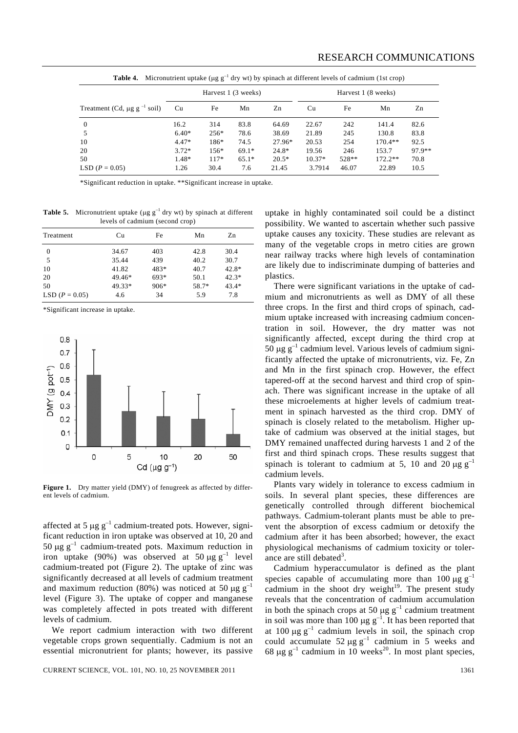| KESEAKUT UUMIMUNIUATIV                                                                                                      |                     |        |         |                     |       |     |           |        |
|-----------------------------------------------------------------------------------------------------------------------------|---------------------|--------|---------|---------------------|-------|-----|-----------|--------|
| <b>Table 4.</b> Micronutrient uptake ( $\mu$ g g <sup>-1</sup> dry wt) by spinach at different levels of cadmium (1st crop) |                     |        |         |                     |       |     |           |        |
|                                                                                                                             | Harvest 1 (3 weeks) |        |         | Harvest 1 (8 weeks) |       |     |           |        |
| Treatment (Cd, $\mu$ g g <sup>-1</sup> soil)                                                                                | Cu                  | Fe     | Mn      | Zn                  | Cu    | Fe  | Mn        | Zn     |
| $\overline{0}$                                                                                                              | 16.2                | 314    | 83.8    | 64.69               | 22.67 | 242 | 141.4     | 82.6   |
| - 5                                                                                                                         | $6.40*$             | $256*$ | 78.6    | 38.69               | 21.89 | 245 | 130.8     | 83.8   |
| 10                                                                                                                          | $4.47*$             | 186*   | 74.5    | 27.96*              | 20.53 | 254 | $170.4**$ | 92.5   |
| 20                                                                                                                          | $3.72*$             | $156*$ | $69.1*$ | 24.8*               | 19.56 | 246 | 153.7     | 97.9** |

50 1.48\* 117\* 65.1\* 20.5\* 10.37\* 528\*\* 172.2\*\* 70.8 LSD (*P* = 0.05) 1.26 30.4 7.6 21.45 3.7914 46.07 22.89 10.5

\*Significant reduction in uptake. \*\*Significant increase in uptake.

**Table 5.** Micronutrient uptake ( $\mu$ g g<sup>-1</sup> dry wt) by spinach at different levels of cadmium (second crop)

| Treatment        | Cu       | Fe     | Mn    | Zn      |
|------------------|----------|--------|-------|---------|
| $\theta$         | 34.67    | 403    | 42.8  | 30.4    |
| 5                | 35.44    | 439    | 40.2  | 30.7    |
| 10               | 41.82    | 483*   | 40.7  | $42.8*$ |
| 20               | $49.46*$ | 693*   | 50.1  | $42.3*$ |
| 50               | 49.33*   | $906*$ | 58.7* | $43.4*$ |
| LSD $(P = 0.05)$ | 4.6      | 34     | 5.9   | 7.8     |

\*Significant increase in uptake.



Figure 1. Dry matter yield (DMY) of fenugreek as affected by different levels of cadmium.

affected at 5  $\mu$ g g<sup>-1</sup> cadmium-treated pots. However, significant reduction in iron uptake was observed at 10, 20 and 50 μg  $g^{-1}$  cadmium-treated pots. Maximum reduction in iron uptake (90%) was observed at 50  $\mu$ g g<sup>-1</sup> level cadmium-treated pot (Figure 2). The uptake of zinc was significantly decreased at all levels of cadmium treatment and maximum reduction (80%) was noticed at 50  $\mu$ g g<sup>-1</sup> level (Figure 3). The uptake of copper and manganese was completely affected in pots treated with different levels of cadmium.

 We report cadmium interaction with two different vegetable crops grown sequentially. Cadmium is not an essential micronutrient for plants; however, its passive

uptake in highly contaminated soil could be a distinct possibility. We wanted to ascertain whether such passive uptake causes any toxicity. These studies are relevant as many of the vegetable crops in metro cities are grown near railway tracks where high levels of contamination are likely due to indiscriminate dumping of batteries and plastics.

 There were significant variations in the uptake of cadmium and micronutrients as well as DMY of all these three crops. In the first and third crops of spinach, cadmium uptake increased with increasing cadmium concentration in soil. However, the dry matter was not significantly affected, except during the third crop at 50  $\mu$ g g<sup>-1</sup> cadmium level. Various levels of cadmium significantly affected the uptake of micronutrients, viz. Fe, Zn and Mn in the first spinach crop. However, the effect tapered-off at the second harvest and third crop of spinach. There was significant increase in the uptake of all these microelements at higher levels of cadmium treatment in spinach harvested as the third crop. DMY of spinach is closely related to the metabolism. Higher uptake of cadmium was observed at the initial stages, but DMY remained unaffected during harvests 1 and 2 of the first and third spinach crops. These results suggest that spinach is tolerant to cadmium at 5, 10 and 20  $\mu$ g g<sup>-1</sup> cadmium levels.

 Plants vary widely in tolerance to excess cadmium in soils. In several plant species, these differences are genetically controlled through different biochemical pathways. Cadmium-tolerant plants must be able to prevent the absorption of excess cadmium or detoxify the cadmium after it has been absorbed; however, the exact physiological mechanisms of cadmium toxicity or tolerance are still debated<sup>3</sup>.

 Cadmium hyperaccumulator is defined as the plant species capable of accumulating more than 100  $\mu$ g g<sup>-1</sup> cadmium in the shoot dry weight<sup>19</sup>. The present study reveals that the concentration of cadmium accumulation in both the spinach crops at 50  $\mu$ g g<sup>-1</sup> cadmium treatment in soil was more than 100 μg  $g^{-1}$ . It has been reported that at 100 μg  $g^{-1}$  cadmium levels in soil, the spinach crop could accumulate  $52 \mu g g^{-1}$  cadmium in 5 weeks and  $68 \mu g g^{-1}$  cadmium in 10 weeks<sup>20</sup>. In most plant species,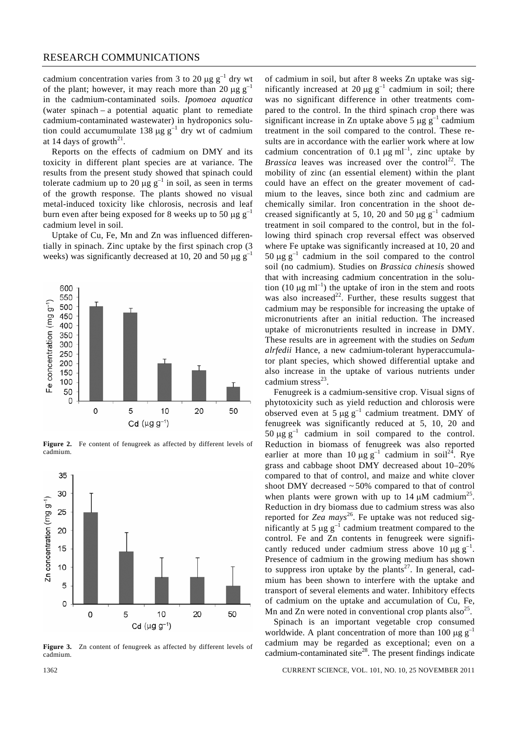cadmium concentration varies from 3 to 20  $\mu$ g g<sup>-1</sup> dry wt of the plant; however, it may reach more than 20  $\mu$ g g<sup>-1</sup> in the cadmium-contaminated soils. *Ipomoea aquatica* (water spinach – a potential aquatic plant to remediate cadmium-contaminated wastewater) in hydroponics solution could accumumulate 138 μg  $g^{-1}$  dry wt of cadmium at 14 days of growth<sup>21</sup>.

 Reports on the effects of cadmium on DMY and its toxicity in different plant species are at variance. The results from the present study showed that spinach could tolerate cadmium up to 20  $\mu$ g g<sup>-1</sup> in soil, as seen in terms of the growth response. The plants showed no visual metal-induced toxicity like chlorosis, necrosis and leaf burn even after being exposed for 8 weeks up to 50  $\mu$ g g<sup>-1</sup> cadmium level in soil.

 Uptake of Cu, Fe, Mn and Zn was influenced differentially in spinach. Zinc uptake by the first spinach crop (3 weeks) was significantly decreased at 10, 20 and 50  $\mu$ g g<sup>-1</sup>



Figure 2. Fe content of fenugreek as affected by different levels of cadmium.



Figure 3. Zn content of fenugreek as affected by different levels of cadmium.

of cadmium in soil, but after 8 weeks Zn uptake was significantly increased at 20  $\mu$ g g<sup>-1</sup> cadmium in soil; there was no significant difference in other treatments compared to the control. In the third spinach crop there was significant increase in Zn uptake above 5  $\mu$ g g<sup>-1</sup> cadmium treatment in the soil compared to the control. These results are in accordance with the earlier work where at low cadmium concentration of 0.1  $\mu$ g ml<sup>-1</sup>, zinc uptake by *Brassica* leaves was increased over the control<sup>22</sup>. The mobility of zinc (an essential element) within the plant could have an effect on the greater movement of cadmium to the leaves, since both zinc and cadmium are chemically similar. Iron concentration in the shoot decreased significantly at 5, 10, 20 and 50  $\mu$ g g<sup>-1</sup> cadmium treatment in soil compared to the control, but in the following third spinach crop reversal effect was observed where Fe uptake was significantly increased at 10, 20 and 50 μg  $g^{-1}$  cadmium in the soil compared to the control soil (no cadmium). Studies on *Brassica chinesis* showed that with increasing cadmium concentration in the solution (10  $\mu$ g ml<sup>-1</sup>) the uptake of iron in the stem and roots was also increased<sup>22</sup>. Further, these results suggest that cadmium may be responsible for increasing the uptake of micronutrients after an initial reduction. The increased uptake of micronutrients resulted in increase in DMY. These results are in agreement with the studies on *Sedum alrfedii* Hance, a new cadmium-tolerant hyperaccumulator plant species, which showed differential uptake and also increase in the uptake of various nutrients under cadmium stress $^{23}$ .

 Fenugreek is a cadmium-sensitive crop. Visual signs of phytotoxicity such as yield reduction and chlorosis were observed even at 5  $\mu$ g g<sup>-1</sup> cadmium treatment. DMY of fenugreek was significantly reduced at 5, 10, 20 and 50  $\mu$ g g<sup>-1</sup> cadmium in soil compared to the control. Reduction in biomass of fenugreek was also reported earlier at more than  $10 \mu g g^{-1}$  cadmium in soil<sup>24</sup>. Rye grass and cabbage shoot DMY decreased about 10–20% compared to that of control, and maize and white clover shoot DMY decreased  $\sim$  50% compared to that of control when plants were grown with up to 14  $\mu$ M cadmium<sup>25</sup>. Reduction in dry biomass due to cadmium stress was also reported for *Zea mays*<sup>26</sup>. Fe uptake was not reduced significantly at 5  $\mu$ g g<sup>-1</sup> cadmium treatment compared to the control. Fe and Zn contents in fenugreek were significantly reduced under cadmium stress above 10 μg  $g^{-1}$ . Presence of cadmium in the growing medium has shown to suppress iron uptake by the plants<sup>27</sup>. In general, cadmium has been shown to interfere with the uptake and transport of several elements and water. Inhibitory effects of cadmium on the uptake and accumulation of Cu, Fe, Mn and Zn were noted in conventional crop plants also<sup>25</sup>.

 Spinach is an important vegetable crop consumed worldwide. A plant concentration of more than 100  $\mu$ g g<sup>-1</sup> cadmium may be regarded as exceptional; even on a cadmium-contaminated site<sup>28</sup>. The present findings indicate